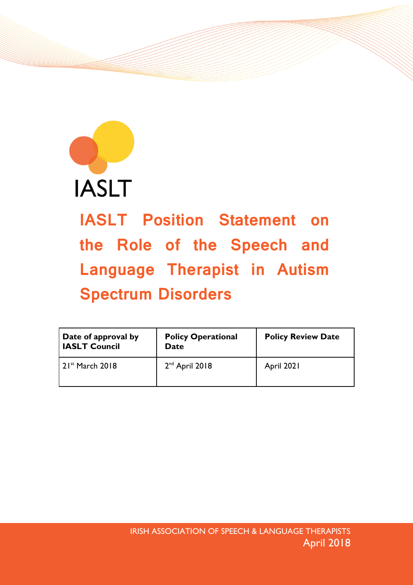

IASLT Position Statement on the Role of the Speech and Language Therapist in Autism Spectrum Disorders

| Date of approval by<br><b>IASLT Council</b> | <b>Policy Operational</b><br>Date | <b>Policy Review Date</b> |
|---------------------------------------------|-----------------------------------|---------------------------|
| $21^{st}$ March 2018                        | $2nd$ April 2018                  | April 2021                |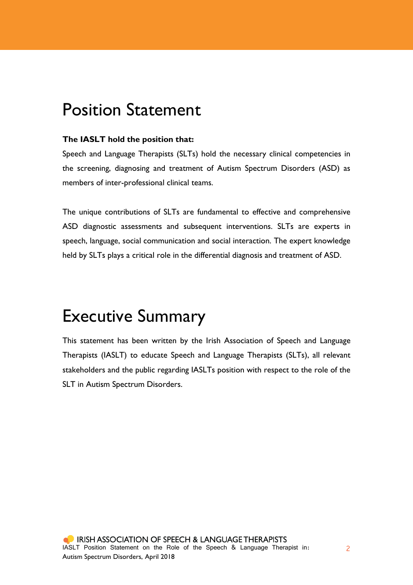## Position Statement

### **The IASLT hold the position that:**

Speech and Language Therapists (SLTs) hold the necessary clinical competencies in the screening, diagnosing and treatment of Autism Spectrum Disorders (ASD) as members of inter-professional clinical teams.

The unique contributions of SLTs are fundamental to effective and comprehensive ASD diagnostic assessments and subsequent interventions. SLTs are experts in speech, language, social communication and social interaction. The expert knowledge held by SLTs plays a critical role in the differential diagnosis and treatment of ASD.

# Executive Summary

This statement has been written by the Irish Association of Speech and Language Therapists (IASLT) to educate Speech and Language Therapists (SLTs), all relevant stakeholders and the public regarding IASLTs position with respect to the role of the SLT in Autism Spectrum Disorders.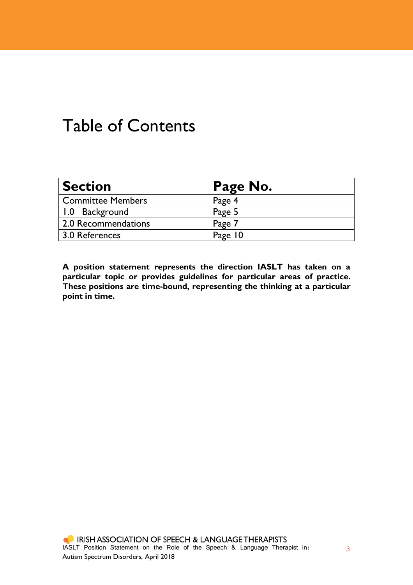## Table of Contents

| <b>Section</b>           | Page No. |
|--------------------------|----------|
| <b>Committee Members</b> | Page 4   |
| 1.0 Background           | Page 5   |
| 2.0 Recommendations      | Page 7   |
| 3.0 References           | Page 10  |

**A position statement represents the direction IASLT has taken on a particular topic or provides guidelines for particular areas of practice. These positions are time-bound, representing the thinking at a particular point in time.**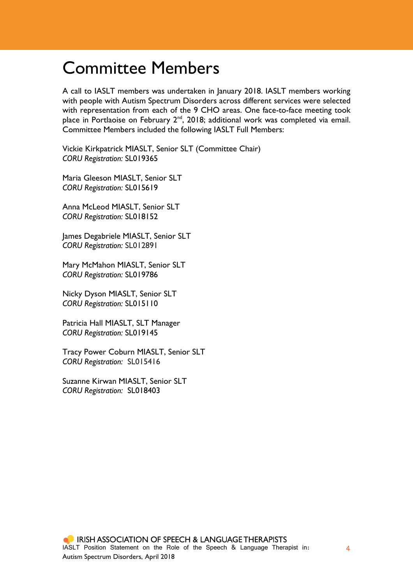## Committee Members

A call to IASLT members was undertaken in January 2018. IASLT members working with people with Autism Spectrum Disorders across different services were selected with representation from each of the 9 CHO areas. One face-to-face meeting took place in Portlaoise on February 2<sup>nd</sup>, 2018; additional work was completed via email. Committee Members included the following IASLT Full Members:

Vickie Kirkpatrick MIASLT, Senior SLT (Committee Chair) *CORU Registration:* SL019365

Maria Gleeson MIASLT, Senior SLT *CORU Registration:* SL015619

Anna McLeod MIASLT, Senior SLT *CORU Registration:* SL018152

James Degabriele MIASLT, Senior SLT *CORU Registration:* SL012891

Mary McMahon MIASLT, Senior SLT *CORU Registration:* SL019786

Nicky Dyson MIASLT, Senior SLT *CORU Registration:* SL015110

Patricia Hall MIASLT, SLT Manager *CORU Registration:* SL019145

Tracy Power Coburn MIASLT, Senior SLT *CORU Registration:* SL015416

Suzanne Kirwan MIASLT, Senior SLT *CORU Registration:* SL018403

4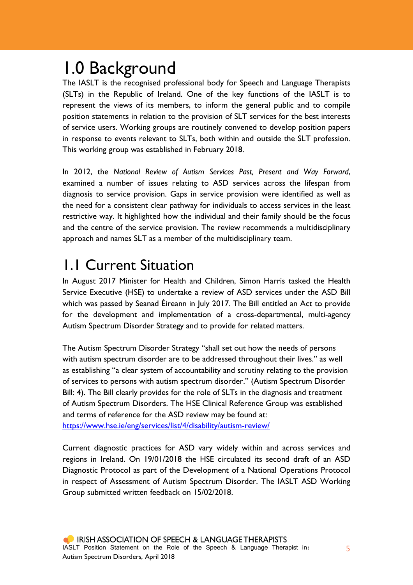# 1.0 Background

The IASLT is the recognised professional body for Speech and Language Therapists (SLTs) in the Republic of Ireland. One of the key functions of the IASLT is to represent the views of its members, to inform the general public and to compile position statements in relation to the provision of SLT services for the best interests of service users. Working groups are routinely convened to develop position papers in response to events relevant to SLTs, both within and outside the SLT profession. This working group was established in February 2018.

In 2012, the *National Review of Autism Services Past, Present and Way Forward*, examined a number of issues relating to ASD services across the lifespan from diagnosis to service provision. Gaps in service provision were identified as well as the need for a consistent clear pathway for individuals to access services in the least restrictive way. It highlighted how the individual and their family should be the focus and the centre of the service provision. The review recommends a multidisciplinary approach and names SLT as a member of the multidisciplinary team.

## 1.1 Current Situation

In August 2017 Minister for Health and Children, Simon Harris tasked the Health Service Executive (HSE) to undertake a review of ASD services under the ASD Bill which was passed by Seanad Éireann in July 2017. The Bill entitled an Act to provide for the development and implementation of a cross-departmental, multi-agency Autism Spectrum Disorder Strategy and to provide for related matters.

The Autism Spectrum Disorder Strategy "shall set out how the needs of persons with autism spectrum disorder are to be addressed throughout their lives." as well as establishing "a clear system of accountability and scrutiny relating to the provision of services to persons with autism spectrum disorder." (Autism Spectrum Disorder Bill: 4). The Bill clearly provides for the role of SLTs in the diagnosis and treatment of Autism Spectrum Disorders. The HSE Clinical Reference Group was established and terms of reference for the ASD review may be found at: <https://www.hse.ie/eng/services/list/4/disability/autism-review/>

Current diagnostic practices for ASD vary widely within and across services and regions in Ireland. On 19/01/2018 the HSE circulated its second draft of an ASD Diagnostic Protocol as part of the Development of a National Operations Protocol in respect of Assessment of Autism Spectrum Disorder. The IASLT ASD Working Group submitted written feedback on 15/02/2018.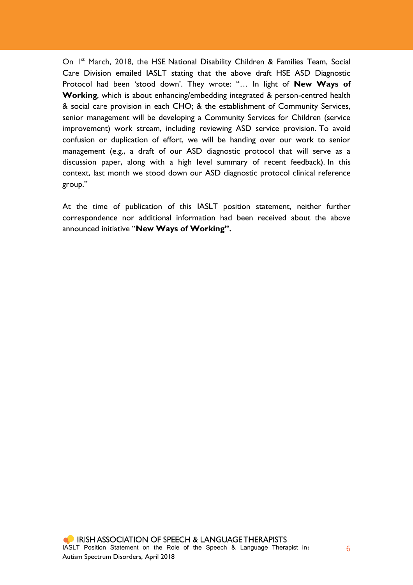On I<sup>st</sup> March, 2018, the HSE National Disability Children & Families Team, Social Care Division emailed IASLT stating that the above draft HSE ASD Diagnostic Protocol had been 'stood down'. They wrote: "… In light of **New Ways of Working**, which is about enhancing/embedding integrated & person-centred health & social care provision in each CHO; & the establishment of Community Services, senior management will be developing a Community Services for Children (service improvement) work stream, including reviewing ASD service provision. To avoid confusion or duplication of effort, we will be handing over our work to senior management (e.g., a draft of our ASD diagnostic protocol that will serve as a discussion paper, along with a high level summary of recent feedback). In this context, last month we stood down our ASD diagnostic protocol clinical reference group."

At the time of publication of this IASLT position statement, neither further correspondence nor additional information had been received about the above announced initiative "**New Ways of Working".**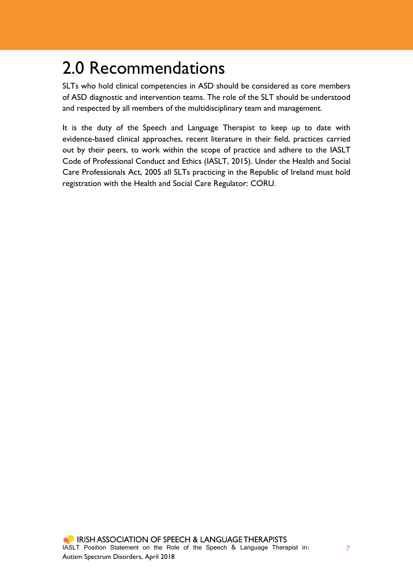# 2.0 Recommendations

SLTs who hold clinical competencies in ASD should be considered as core members of ASD diagnostic and intervention teams. The role of the SLT should be understood and respected by all members of the multidisciplinary team and management.

It is the duty of the Speech and Language Therapist to keep up to date with evidence-based clinical approaches, recent literature in their field, practices carried out by their peers, to work within the scope of practice and adhere to the IASLT Code of Professional Conduct and Ethics (IASLT, 2015). Under the Health and Social Care Professionals Act, 2005 all SLTs practicing in the Republic of Ireland must hold registration with the Health and Social Care Regulator: CORU.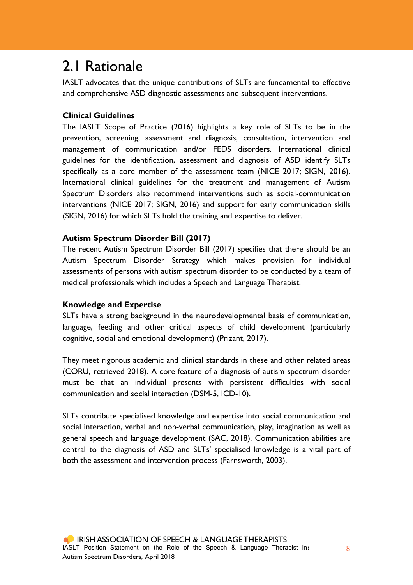### 2.1 Rationale

IASLT advocates that the unique contributions of SLTs are fundamental to effective and comprehensive ASD diagnostic assessments and subsequent interventions.

### **Clinical Guidelines**

The IASLT Scope of Practice (2016) highlights a key role of SLTs to be in the prevention, screening, assessment and diagnosis, consultation, intervention and management of communication and/or FEDS disorders. International clinical guidelines for the identification, assessment and diagnosis of ASD identify SLTs specifically as a core member of the assessment team (NICE 2017; SIGN, 2016). International clinical guidelines for the treatment and management of Autism Spectrum Disorders also recommend interventions such as social-communication interventions (NICE 2017; SIGN, 2016) and support for early communication skills (SIGN, 2016) for which SLTs hold the training and expertise to deliver.

### **Autism Spectrum Disorder Bill (2017)**

The recent Autism Spectrum Disorder Bill (2017) specifies that there should be an Autism Spectrum Disorder Strategy which makes provision for individual assessments of persons with autism spectrum disorder to be conducted by a team of medical professionals which includes a Speech and Language Therapist.

### **Knowledge and Expertise**

SLTs have a strong background in the neurodevelopmental basis of communication, language, feeding and other critical aspects of child development (particularly cognitive, social and emotional development) (Prizant, 2017).

They meet rigorous academic and clinical standards in these and other related areas (CORU, retrieved 2018). A core feature of a diagnosis of autism spectrum disorder must be that an individual presents with persistent difficulties with social communication and social interaction (DSM-5, ICD-10).

SLTs contribute specialised knowledge and expertise into social communication and social interaction, verbal and non-verbal communication, play, imagination as well as general speech and language development (SAC, 2018). Communication abilities are central to the diagnosis of ASD and SLTs' specialised knowledge is a vital part of both the assessment and intervention process (Farnsworth, 2003).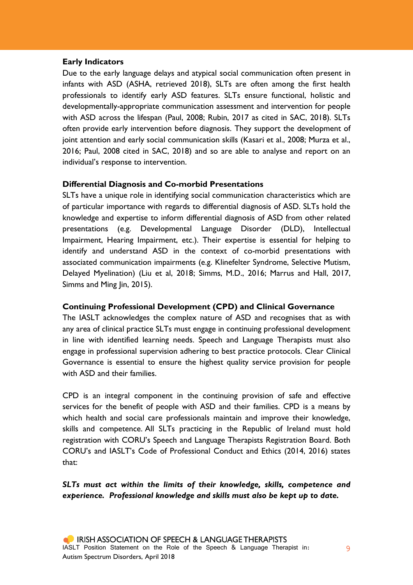### **Early Indicators**

Due to the early language delays and atypical social communication often present in infants with ASD (ASHA, retrieved 2018), SLTs are often among the first health professionals to identify early ASD features. SLTs ensure functional, holistic and developmentally-appropriate communication assessment and intervention for people with ASD across the lifespan (Paul, 2008; Rubin, 2017 as cited in SAC, 2018). SLTs often provide early intervention before diagnosis. They support the development of joint attention and early social communication skills (Kasari et al., 2008; Murza et al., 2016; Paul, 2008 cited in SAC, 2018) and so are able to analyse and report on an individual's response to intervention.

#### **Differential Diagnosis and Co-morbid Presentations**

SLTs have a unique role in identifying social communication characteristics which are of particular importance with regards to differential diagnosis of ASD. SLTs hold the knowledge and expertise to inform differential diagnosis of ASD from other related presentations (e.g. Developmental Language Disorder (DLD), Intellectual Impairment, Hearing Impairment, etc.). Their expertise is essential for helping to identify and understand ASD in the context of co-morbid presentations with associated communication impairments (e.g. Klinefelter Syndrome, Selective Mutism, Delayed Myelination) (Liu et al, 2018; Simms, M.D., 2016; Marrus and Hall, 2017, Simms and Ming Jin, 2015).

### **Continuing Professional Development (CPD) and Clinical Governance**

The IASLT acknowledges the complex nature of ASD and recognises that as with any area of clinical practice SLTs must engage in continuing professional development in line with identified learning needs. Speech and Language Therapists must also engage in professional supervision adhering to best practice protocols. Clear Clinical Governance is essential to ensure the highest quality service provision for people with ASD and their families.

CPD is an integral component in the continuing provision of safe and effective services for the benefit of people with ASD and their families. CPD is a means by which health and social care professionals maintain and improve their knowledge, skills and competence. All SLTs practicing in the Republic of Ireland must hold registration with CORU's Speech and Language Therapists Registration Board. Both CORU's and IASLT's Code of Professional Conduct and Ethics (2014, 2016) states that:

*SLTs must act within the limits of their knowledge, skills, competence and experience. Professional knowledge and skills must also be kept up to date.*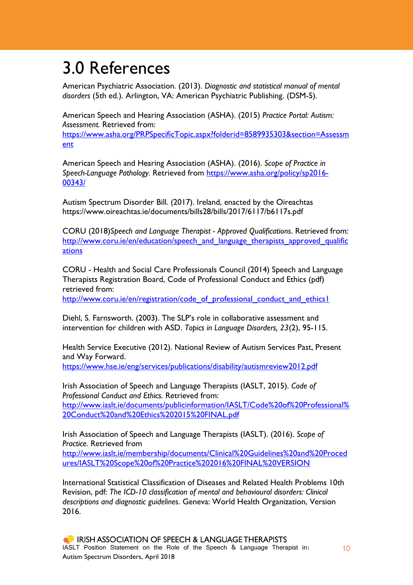## 3.0 References

American Psychiatric Association. (2013). *Diagnostic and statistical manual of mental disorders* (5th ed.). Arlington, VA: American Psychiatric Publishing. (DSM-5).

American Speech and Hearing Association (ASHA). (2015) *Practice Portal: Autism: Assessment.* Retrieved from:

[https://www.asha.org/PRPSpecificTopic.aspx?folderid=8589935303&section=Assessm](https://www.asha.org/PRPSpecificTopic.aspx?folderid=8589935303§ion=Assessment) [ent](https://www.asha.org/PRPSpecificTopic.aspx?folderid=8589935303§ion=Assessment)

American Speech and Hearing Association (ASHA). (2016). *Scope of [Practice](https://www.asha.org/policy/SP2016-00343/) in [Speech-Language](https://www.asha.org/policy/SP2016-00343/) Pathology.* Retrieved from [https://www.asha.org/policy/sp2016-](https://www.asha.org/policy/sp2016-00343/) [00343/](https://www.asha.org/policy/sp2016-00343/)

Autism Spectrum Disorder Bill. (2017). Ireland, enacted by the Oireachtas https://www.oireachtas.ie/documents/bills28/bills/2017/6117/b6117s.pdf

CORU (2018)*Speech and Language Therapist - Approved Qualifications*. Retrieved from: [http://www.coru.ie/en/education/speech\\_and\\_language\\_therapists\\_approved\\_qualific](http://www.coru.ie/en/education/speech_and_language_therapists_approved_qualifications) [ations](http://www.coru.ie/en/education/speech_and_language_therapists_approved_qualifications)

CORU - Health and Social Care Professionals Council (2014) Speech and Language Therapists Registration Board, Code of Professional Conduct and Ethics (pdf) retrieved from:

[http://www.coru.ie/en/registration/code\\_of\\_professional\\_conduct\\_and\\_ethics1](http://www.coru.ie/en/registration/code_of_professional_conduct_and_ethics1)

Diehl, S. Farnsworth. (2003). The SLP's role in collaborative assessment and intervention for children with ASD. *Topics in Language Disorders, 23*(2), 95-115.

Health Service Executive (2012). National Review of Autism Services Past, Present and Way Forward.

<https://www.hse.ie/eng/services/publications/disability/autismreview2012.pdf>

Irish Association of Speech and Language Therapists (IASLT, 2015). *Code of Professional Conduct and Ethics.* Retrieved from: [http://www.iaslt.ie/documents/publicinformation/IASLT/Code%20of%20Professional%](http://www.iaslt.ie/documents/publicinformation/IASLT/Code%20of%20Professional%20Conduct%20and%20Ethics%202015%20FINAL.pdf) [20Conduct%20and%20Ethics%202015%20FINAL.pdf](http://www.iaslt.ie/documents/publicinformation/IASLT/Code%20of%20Professional%20Conduct%20and%20Ethics%202015%20FINAL.pdf)

Irish Association of Speech and Language Therapists (IASLT). (2016). *Scope of Practice.* Retrieved from

[http://www.iaslt.ie/membership/documents/Clinical%20Guidelines%20and%20Proced](http://www.iaslt.ie/membership/documents/Clinical%20Guidelines%20and%20Procedures/IASLT%20Scope%20of%20Practice%202016%20FINAL%20VERSION) [ures/IASLT%20Scope%20of%20Practice%202016%20FINAL%20VERSION](http://www.iaslt.ie/membership/documents/Clinical%20Guidelines%20and%20Procedures/IASLT%20Scope%20of%20Practice%202016%20FINAL%20VERSION)

International Statistical Classification of Diseases and Related Health Problems 10th Revision, pdf: *The ICD-10 classification of mental and behavioural disorders: Clinical descriptions and diagnostic guidelines*. Geneva: World Health Organization, Version 2016.